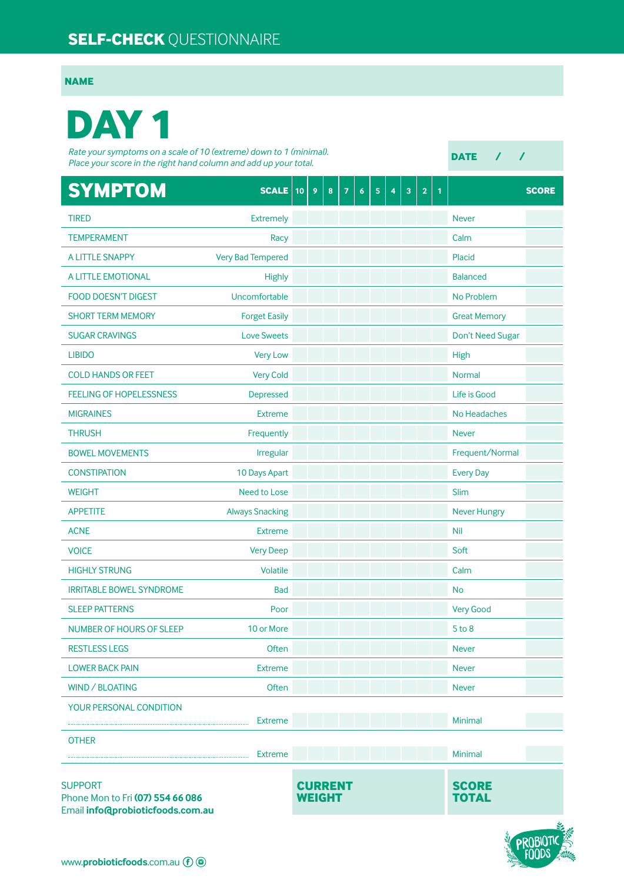## **SELF-CHECK** QUESTIONNAIRE

## **NAME**

## **DAY 1**

*Rate your symptoms on a scale of 10 (extreme) down to 1 (minimal). Place your score in the right hand column and add up your total.*

**DATE / /**

| <b>SYMPTOM</b>                                                                         | $SCALE$ 10               | 9                               | 8 | 7 | $6\phantom{a}$ | 5 | 4 | $\overline{\mathbf{3}}$ | $\overline{2}$ | $\mathbf{1}$ |                              | <b>SCORE</b> |
|----------------------------------------------------------------------------------------|--------------------------|---------------------------------|---|---|----------------|---|---|-------------------------|----------------|--------------|------------------------------|--------------|
| <b>TIRED</b>                                                                           | <b>Extremely</b>         |                                 |   |   |                |   |   |                         |                |              | <b>Never</b>                 |              |
| <b>TEMPERAMENT</b>                                                                     | Racy                     |                                 |   |   |                |   |   |                         |                |              | Calm                         |              |
| A LITTLE SNAPPY                                                                        | <b>Very Bad Tempered</b> |                                 |   |   |                |   |   |                         |                |              | Placid                       |              |
| A LITTLE EMOTIONAL                                                                     | <b>Highly</b>            |                                 |   |   |                |   |   |                         |                |              | <b>Balanced</b>              |              |
| <b>FOOD DOESN'T DIGEST</b>                                                             | Uncomfortable            |                                 |   |   |                |   |   |                         |                |              | No Problem                   |              |
| <b>SHORT TERM MEMORY</b>                                                               | <b>Forget Easily</b>     |                                 |   |   |                |   |   |                         |                |              | <b>Great Memory</b>          |              |
| <b>SUGAR CRAVINGS</b>                                                                  | <b>Love Sweets</b>       |                                 |   |   |                |   |   |                         |                |              | Don't Need Sugar             |              |
| <b>LIBIDO</b>                                                                          | <b>Very Low</b>          |                                 |   |   |                |   |   |                         |                |              | High                         |              |
| <b>COLD HANDS OR FEET</b>                                                              | <b>Very Cold</b>         |                                 |   |   |                |   |   |                         |                |              | <b>Normal</b>                |              |
| <b>FEELING OF HOPELESSNESS</b>                                                         | Depressed                |                                 |   |   |                |   |   |                         |                |              | Life is Good                 |              |
| <b>MIGRAINES</b>                                                                       | <b>Extreme</b>           |                                 |   |   |                |   |   |                         |                |              | No Headaches                 |              |
| <b>THRUSH</b>                                                                          | Frequently               |                                 |   |   |                |   |   |                         |                |              | <b>Never</b>                 |              |
| <b>BOWEL MOVEMENTS</b>                                                                 | Irregular                |                                 |   |   |                |   |   |                         |                |              | Frequent/Normal              |              |
| <b>CONSTIPATION</b>                                                                    | 10 Days Apart            |                                 |   |   |                |   |   |                         |                |              | <b>Every Day</b>             |              |
| <b>WEIGHT</b>                                                                          | Need to Lose             |                                 |   |   |                |   |   |                         |                |              | Slim                         |              |
| <b>APPETITE</b>                                                                        | <b>Always Snacking</b>   |                                 |   |   |                |   |   |                         |                |              | <b>Never Hungry</b>          |              |
| <b>ACNE</b>                                                                            | <b>Extreme</b>           |                                 |   |   |                |   |   |                         |                |              | <b>Nil</b>                   |              |
| <b>VOICE</b>                                                                           | <b>Very Deep</b>         |                                 |   |   |                |   |   |                         |                |              | Soft                         |              |
| <b>HIGHLY STRUNG</b>                                                                   | Volatile                 |                                 |   |   |                |   |   |                         |                |              | Calm                         |              |
| <b>IRRITABLE BOWEL SYNDROME</b>                                                        | <b>Bad</b>               |                                 |   |   |                |   |   |                         |                |              | <b>No</b>                    |              |
| <b>SLEEP PATTERNS</b>                                                                  | Poor                     |                                 |   |   |                |   |   |                         |                |              | <b>Very Good</b>             |              |
| <b>NUMBER OF HOURS OF SLEEP</b>                                                        | 10 or More               |                                 |   |   |                |   |   |                         |                |              | $5$ to $8$                   |              |
| <b>RESTLESS LEGS</b>                                                                   | Often                    |                                 |   |   |                |   |   |                         |                |              | <b>Never</b>                 |              |
| <b>LOWER BACK PAIN</b>                                                                 | <b>Extreme</b>           |                                 |   |   |                |   |   |                         |                |              | <b>Never</b>                 |              |
| WIND / BLOATING                                                                        | Often                    |                                 |   |   |                |   |   |                         |                |              | <b>Never</b>                 |              |
| YOUR PERSONAL CONDITION                                                                |                          |                                 |   |   |                |   |   |                         |                |              |                              |              |
|                                                                                        | <b>Extreme</b>           |                                 |   |   |                |   |   |                         |                |              | Minimal                      |              |
| <b>OTHER</b>                                                                           | <b>Extreme</b>           |                                 |   |   |                |   |   |                         |                |              | <b>Minimal</b>               |              |
| <b>SUPPORT</b><br>Phone Mon to Fri (07) 554 66 086<br>Email info@probioticfoods.com.au |                          | <b>CURRENT</b><br><b>WEIGHT</b> |   |   |                |   |   |                         |                |              | <b>SCORE</b><br><b>TOTAL</b> |              |